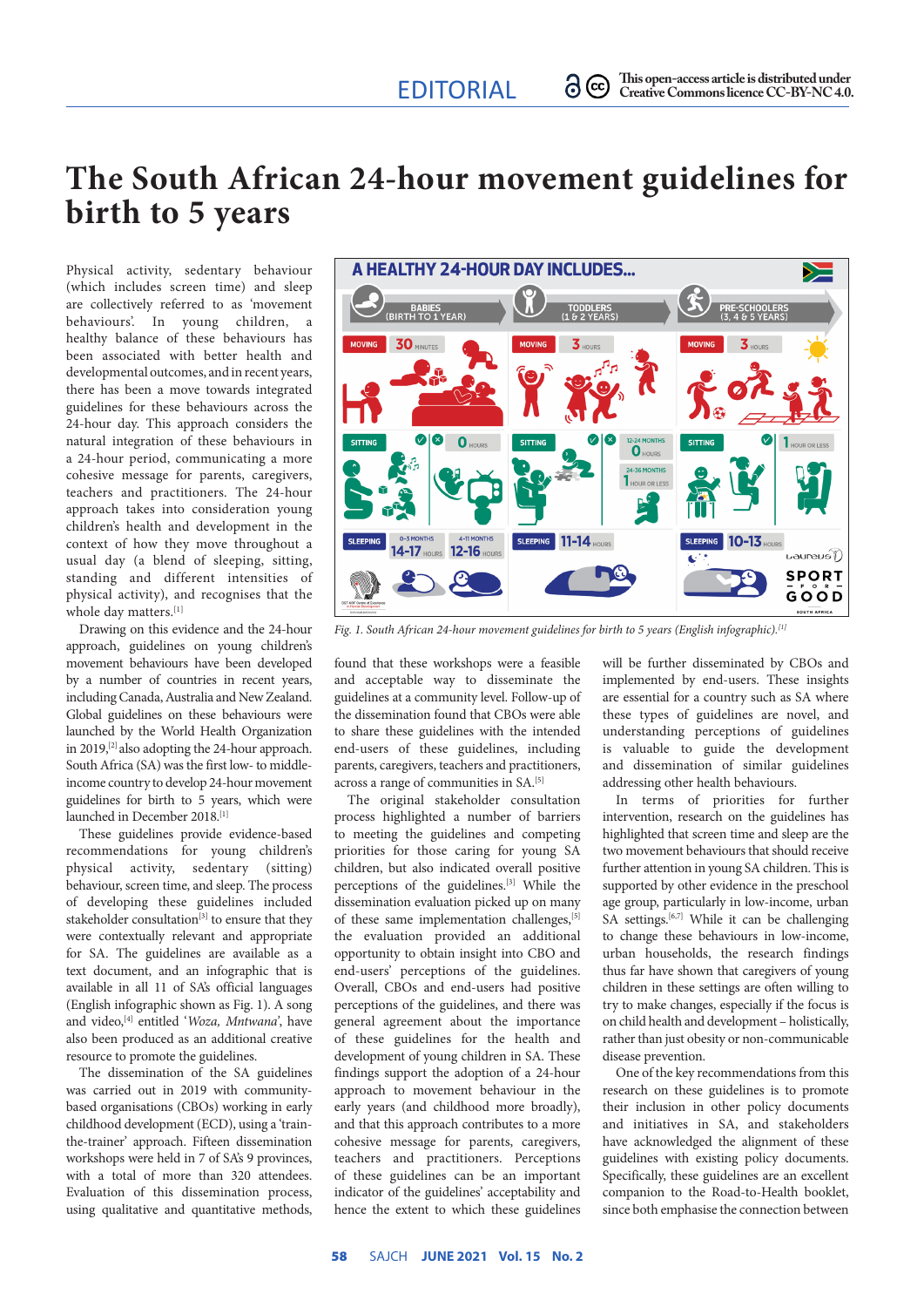## **The South African 24-hour movement guidelines for birth to 5 years**

Physical activity, sedentary behaviour (which includes screen time) and sleep are collectively referred to as 'movement behaviours'. In young children, a healthy balance of these behaviours has been associated with better health and developmental outcomes, and in recent years, there has been a move towards integrated guidelines for these behaviours across the 24-hour day. This approach considers the natural integration of these behaviours in a 24-hour period, communicating a more cohesive message for parents, caregivers, teachers and practitioners. The 24-hour approach takes into consideration young children's health and development in the context of how they move throughout a usual day (a blend of sleeping, sitting, standing and different intensities of physical activity), and recognises that the whole day matters.<sup>[1]</sup>

Drawing on this evidence and the 24-hour approach, guidelines on young children's movement behaviours have been developed by a number of countries in recent vears, including Canada, Australia and New Zealand. Global guidelines on these behaviours were launched by the World Health Organization in 2019,<sup>[2]</sup> also adopting the 24-hour approach. South Africa (SA) was the first low- to middleincome country to develop 24-hour movement guidelines for birth to 5 years, which were launched in December 2018.[1]

These guidelines provide evidence-based recommendations for young children's physical activity, sedentary (sitting) behaviour, screen time, and sleep. The process of developing these guidelines included stakeholder consultation<sup>[3]</sup> to ensure that they were contextually relevant and appropriate for SA. The guidelines are available as a text document, and an infographic that is available in all 11 of SA's official languages (English infographic shown as Fig. 1). A song and video,[4] entitled '*Woza, Mntwana'*, have also been produced as an additional creative resource to promote the guidelines.

The dissemination of the SA guidelines was carried out in 2019 with communitybased organisations (CBOs) working in early childhood development (ECD), using a 'trainthe-trainer' approach. Fifteen dissemination workshops were held in 7 of SA's 9 provinces, with a total of more than 320 attendees. Evaluation of this dissemination process, using qualitative and quantitative methods,



*Fig. 1. South African 24-hour movement guidelines for birth to 5 years (English infographic).[1]*

found that these workshops were a feasible and acceptable way to disseminate the guidelines at a community level. Follow-up of the dissemination found that CBOs were able to share these guidelines with the intended end-users of these guidelines, including parents, caregivers, teachers and practitioners, across a range of communities in SA.[5]

The original stakeholder consultation process highlighted a number of barriers to meeting the guidelines and competing priorities for those caring for young SA children, but also indicated overall positive perceptions of the guidelines.[3] While the dissemination evaluation picked up on many of these same implementation challenges, [5] the evaluation provided an additional opportunity to obtain insight into CBO and end-users' perceptions of the guidelines. Overall, CBOs and end-users had positive perceptions of the guidelines, and there was general agreement about the importance of these guidelines for the health and development of young children in SA. These findings support the adoption of a 24-hour approach to movement behaviour in the early years (and childhood more broadly), and that this approach contributes to a more cohesive message for parents, caregivers, teachers and practitioners. Perceptions of these guidelines can be an important indicator of the guidelines' acceptability and hence the extent to which these guidelines will be further disseminated by CBOs and implemented by end-users. These insights are essential for a country such as SA where these types of guidelines are novel, and understanding perceptions of guidelines is valuable to guide the development and dissemination of similar guidelines addressing other health behaviours.

In terms of priorities for further intervention, research on the guidelines has highlighted that screen time and sleep are the two movement behaviours that should receive further attention in young SA children. This is supported by other evidence in the preschool age group, particularly in low-income, urban SA settings.<sup>[6,7]</sup> While it can be challenging to change these behaviours in low-income, urban households, the research findings thus far have shown that caregivers of young children in these settings are often willing to try to make changes, especially if the focus is on child health and development – holistically, rather than just obesity or non-communicable disease prevention.

One of the key recommendations from this research on these guidelines is to promote their inclusion in other policy documents and initiatives in SA, and stakeholders have acknowledged the alignment of these guidelines with existing policy documents. Specifically, these guidelines are an excellent companion to the Road-to-Health booklet, since both emphasise the connection between